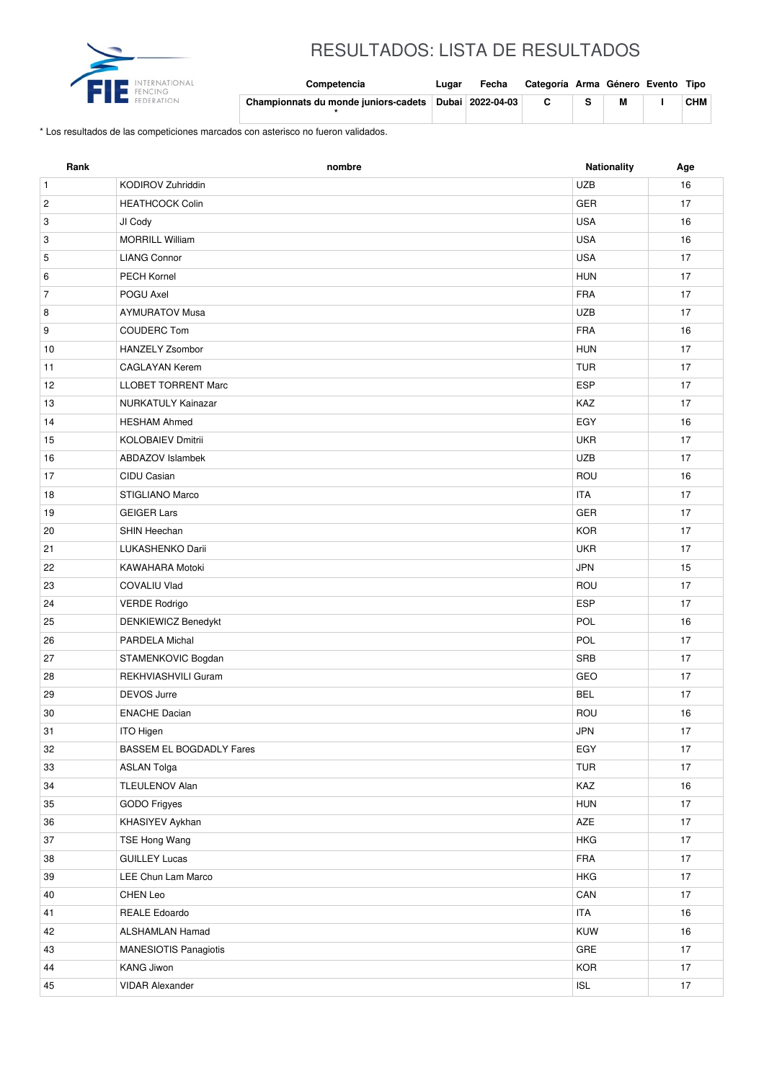

## RESULTADOS: LISTA DE RESULTADOS

| Competencia                          | Luɑar | Fecha            | Categoría Arma Género Evento Tipo |   |     |
|--------------------------------------|-------|------------------|-----------------------------------|---|-----|
| Championnats du monde juniors-cadets |       | Dubai 2022-04-03 | C.                                | M | СНМ |

\* Los resultados de las competiciones marcados con asterisco no fueron validados.

| <b>UZB</b><br>KODIROV Zuhriddin<br>16<br>$\mathbf{1}$<br>GER<br>$\overline{\mathbf{c}}$<br><b>HEATHCOCK Colin</b><br>17<br><b>USA</b><br>16<br>3<br>JI Cody<br><b>MORRILL William</b><br><b>USA</b><br>16<br>3<br><b>USA</b><br>5<br><b>LIANG Connor</b><br>17<br>PECH Kornel<br><b>HUN</b><br>6<br>17<br><b>FRA</b><br>$\overline{7}$<br>POGU Axel<br>17<br><b>AYMURATOV Musa</b><br><b>UZB</b><br>8<br>17<br><b>FRA</b><br>9<br><b>COUDERC Tom</b><br>16<br>HANZELY Zsombor<br><b>HUN</b><br>17<br>10<br><b>CAGLAYAN Kerem</b><br><b>TUR</b><br>17<br>11<br><b>ESP</b><br><b>LLOBET TORRENT Marc</b><br>17<br>12<br><b>NURKATULY Kainazar</b><br>KAZ<br>17<br>13<br>EGY<br><b>HESHAM Ahmed</b><br>16<br>14<br><b>UKR</b><br>17<br>15<br><b>KOLOBAIEV Dmitrii</b><br><b>UZB</b><br><b>ABDAZOV Islambek</b><br>17<br>16<br>CIDU Casian<br>ROU<br>17<br>16<br>STIGLIANO Marco<br><b>ITA</b><br>17<br>18<br><b>GEIGER Lars</b><br><b>GER</b><br>19<br>17<br><b>KOR</b><br>SHIN Heechan<br>17<br>20<br><b>UKR</b><br>21<br>LUKASHENKO Darii<br>17<br>KAWAHARA Motoki<br><b>JPN</b><br>15<br>22<br>ROU<br>17<br>23<br><b>COVALIU Vlad</b><br><b>ESP</b><br>24<br><b>VERDE Rodrigo</b><br>17<br>POL<br>DENKIEWICZ Benedykt<br>16<br>25<br>PARDELA Michal<br>POL<br>17<br>26<br><b>SRB</b><br>27<br>STAMENKOVIC Bogdan<br>17<br>REKHVIASHVILI Guram<br>GEO<br>28<br>17<br>29<br>DEVOS Jurre<br><b>BEL</b><br>17 |
|-----------------------------------------------------------------------------------------------------------------------------------------------------------------------------------------------------------------------------------------------------------------------------------------------------------------------------------------------------------------------------------------------------------------------------------------------------------------------------------------------------------------------------------------------------------------------------------------------------------------------------------------------------------------------------------------------------------------------------------------------------------------------------------------------------------------------------------------------------------------------------------------------------------------------------------------------------------------------------------------------------------------------------------------------------------------------------------------------------------------------------------------------------------------------------------------------------------------------------------------------------------------------------------------------------------------------------------------------------------------------------------------------------------|
|                                                                                                                                                                                                                                                                                                                                                                                                                                                                                                                                                                                                                                                                                                                                                                                                                                                                                                                                                                                                                                                                                                                                                                                                                                                                                                                                                                                                           |
|                                                                                                                                                                                                                                                                                                                                                                                                                                                                                                                                                                                                                                                                                                                                                                                                                                                                                                                                                                                                                                                                                                                                                                                                                                                                                                                                                                                                           |
|                                                                                                                                                                                                                                                                                                                                                                                                                                                                                                                                                                                                                                                                                                                                                                                                                                                                                                                                                                                                                                                                                                                                                                                                                                                                                                                                                                                                           |
|                                                                                                                                                                                                                                                                                                                                                                                                                                                                                                                                                                                                                                                                                                                                                                                                                                                                                                                                                                                                                                                                                                                                                                                                                                                                                                                                                                                                           |
|                                                                                                                                                                                                                                                                                                                                                                                                                                                                                                                                                                                                                                                                                                                                                                                                                                                                                                                                                                                                                                                                                                                                                                                                                                                                                                                                                                                                           |
|                                                                                                                                                                                                                                                                                                                                                                                                                                                                                                                                                                                                                                                                                                                                                                                                                                                                                                                                                                                                                                                                                                                                                                                                                                                                                                                                                                                                           |
|                                                                                                                                                                                                                                                                                                                                                                                                                                                                                                                                                                                                                                                                                                                                                                                                                                                                                                                                                                                                                                                                                                                                                                                                                                                                                                                                                                                                           |
|                                                                                                                                                                                                                                                                                                                                                                                                                                                                                                                                                                                                                                                                                                                                                                                                                                                                                                                                                                                                                                                                                                                                                                                                                                                                                                                                                                                                           |
|                                                                                                                                                                                                                                                                                                                                                                                                                                                                                                                                                                                                                                                                                                                                                                                                                                                                                                                                                                                                                                                                                                                                                                                                                                                                                                                                                                                                           |
|                                                                                                                                                                                                                                                                                                                                                                                                                                                                                                                                                                                                                                                                                                                                                                                                                                                                                                                                                                                                                                                                                                                                                                                                                                                                                                                                                                                                           |
|                                                                                                                                                                                                                                                                                                                                                                                                                                                                                                                                                                                                                                                                                                                                                                                                                                                                                                                                                                                                                                                                                                                                                                                                                                                                                                                                                                                                           |
|                                                                                                                                                                                                                                                                                                                                                                                                                                                                                                                                                                                                                                                                                                                                                                                                                                                                                                                                                                                                                                                                                                                                                                                                                                                                                                                                                                                                           |
|                                                                                                                                                                                                                                                                                                                                                                                                                                                                                                                                                                                                                                                                                                                                                                                                                                                                                                                                                                                                                                                                                                                                                                                                                                                                                                                                                                                                           |
|                                                                                                                                                                                                                                                                                                                                                                                                                                                                                                                                                                                                                                                                                                                                                                                                                                                                                                                                                                                                                                                                                                                                                                                                                                                                                                                                                                                                           |
|                                                                                                                                                                                                                                                                                                                                                                                                                                                                                                                                                                                                                                                                                                                                                                                                                                                                                                                                                                                                                                                                                                                                                                                                                                                                                                                                                                                                           |
|                                                                                                                                                                                                                                                                                                                                                                                                                                                                                                                                                                                                                                                                                                                                                                                                                                                                                                                                                                                                                                                                                                                                                                                                                                                                                                                                                                                                           |
|                                                                                                                                                                                                                                                                                                                                                                                                                                                                                                                                                                                                                                                                                                                                                                                                                                                                                                                                                                                                                                                                                                                                                                                                                                                                                                                                                                                                           |
|                                                                                                                                                                                                                                                                                                                                                                                                                                                                                                                                                                                                                                                                                                                                                                                                                                                                                                                                                                                                                                                                                                                                                                                                                                                                                                                                                                                                           |
|                                                                                                                                                                                                                                                                                                                                                                                                                                                                                                                                                                                                                                                                                                                                                                                                                                                                                                                                                                                                                                                                                                                                                                                                                                                                                                                                                                                                           |
|                                                                                                                                                                                                                                                                                                                                                                                                                                                                                                                                                                                                                                                                                                                                                                                                                                                                                                                                                                                                                                                                                                                                                                                                                                                                                                                                                                                                           |
|                                                                                                                                                                                                                                                                                                                                                                                                                                                                                                                                                                                                                                                                                                                                                                                                                                                                                                                                                                                                                                                                                                                                                                                                                                                                                                                                                                                                           |
|                                                                                                                                                                                                                                                                                                                                                                                                                                                                                                                                                                                                                                                                                                                                                                                                                                                                                                                                                                                                                                                                                                                                                                                                                                                                                                                                                                                                           |
|                                                                                                                                                                                                                                                                                                                                                                                                                                                                                                                                                                                                                                                                                                                                                                                                                                                                                                                                                                                                                                                                                                                                                                                                                                                                                                                                                                                                           |
|                                                                                                                                                                                                                                                                                                                                                                                                                                                                                                                                                                                                                                                                                                                                                                                                                                                                                                                                                                                                                                                                                                                                                                                                                                                                                                                                                                                                           |
|                                                                                                                                                                                                                                                                                                                                                                                                                                                                                                                                                                                                                                                                                                                                                                                                                                                                                                                                                                                                                                                                                                                                                                                                                                                                                                                                                                                                           |
|                                                                                                                                                                                                                                                                                                                                                                                                                                                                                                                                                                                                                                                                                                                                                                                                                                                                                                                                                                                                                                                                                                                                                                                                                                                                                                                                                                                                           |
|                                                                                                                                                                                                                                                                                                                                                                                                                                                                                                                                                                                                                                                                                                                                                                                                                                                                                                                                                                                                                                                                                                                                                                                                                                                                                                                                                                                                           |
|                                                                                                                                                                                                                                                                                                                                                                                                                                                                                                                                                                                                                                                                                                                                                                                                                                                                                                                                                                                                                                                                                                                                                                                                                                                                                                                                                                                                           |
|                                                                                                                                                                                                                                                                                                                                                                                                                                                                                                                                                                                                                                                                                                                                                                                                                                                                                                                                                                                                                                                                                                                                                                                                                                                                                                                                                                                                           |
| 30<br><b>ENACHE Dacian</b><br>ROU<br>16                                                                                                                                                                                                                                                                                                                                                                                                                                                                                                                                                                                                                                                                                                                                                                                                                                                                                                                                                                                                                                                                                                                                                                                                                                                                                                                                                                   |
| JPN<br>$17\,$<br>31<br>ITO Higen                                                                                                                                                                                                                                                                                                                                                                                                                                                                                                                                                                                                                                                                                                                                                                                                                                                                                                                                                                                                                                                                                                                                                                                                                                                                                                                                                                          |
| EGY<br>32<br>BASSEM EL BOGDADLY Fares<br>17                                                                                                                                                                                                                                                                                                                                                                                                                                                                                                                                                                                                                                                                                                                                                                                                                                                                                                                                                                                                                                                                                                                                                                                                                                                                                                                                                               |
| <b>TUR</b><br>33<br><b>ASLAN Tolga</b><br>17                                                                                                                                                                                                                                                                                                                                                                                                                                                                                                                                                                                                                                                                                                                                                                                                                                                                                                                                                                                                                                                                                                                                                                                                                                                                                                                                                              |
| 34<br>TLEULENOV Alan<br>KAZ<br>16                                                                                                                                                                                                                                                                                                                                                                                                                                                                                                                                                                                                                                                                                                                                                                                                                                                                                                                                                                                                                                                                                                                                                                                                                                                                                                                                                                         |
| 35<br>GODO Frigyes<br><b>HUN</b><br>17                                                                                                                                                                                                                                                                                                                                                                                                                                                                                                                                                                                                                                                                                                                                                                                                                                                                                                                                                                                                                                                                                                                                                                                                                                                                                                                                                                    |
| AZE<br>36<br>KHASIYEV Aykhan<br>17                                                                                                                                                                                                                                                                                                                                                                                                                                                                                                                                                                                                                                                                                                                                                                                                                                                                                                                                                                                                                                                                                                                                                                                                                                                                                                                                                                        |
| TSE Hong Wang<br><b>HKG</b><br>17<br>37                                                                                                                                                                                                                                                                                                                                                                                                                                                                                                                                                                                                                                                                                                                                                                                                                                                                                                                                                                                                                                                                                                                                                                                                                                                                                                                                                                   |
| <b>GUILLEY Lucas</b><br><b>FRA</b><br>38<br>17                                                                                                                                                                                                                                                                                                                                                                                                                                                                                                                                                                                                                                                                                                                                                                                                                                                                                                                                                                                                                                                                                                                                                                                                                                                                                                                                                            |
| LEE Chun Lam Marco<br><b>HKG</b><br>17<br>39                                                                                                                                                                                                                                                                                                                                                                                                                                                                                                                                                                                                                                                                                                                                                                                                                                                                                                                                                                                                                                                                                                                                                                                                                                                                                                                                                              |
| CHEN Leo<br>CAN<br>17<br>40                                                                                                                                                                                                                                                                                                                                                                                                                                                                                                                                                                                                                                                                                                                                                                                                                                                                                                                                                                                                                                                                                                                                                                                                                                                                                                                                                                               |
| REALE Edoardo<br><b>ITA</b><br>41<br>16                                                                                                                                                                                                                                                                                                                                                                                                                                                                                                                                                                                                                                                                                                                                                                                                                                                                                                                                                                                                                                                                                                                                                                                                                                                                                                                                                                   |
| KUW<br>42<br>ALSHAMLAN Hamad<br>16                                                                                                                                                                                                                                                                                                                                                                                                                                                                                                                                                                                                                                                                                                                                                                                                                                                                                                                                                                                                                                                                                                                                                                                                                                                                                                                                                                        |
| GRE<br>MANESIOTIS Panagiotis<br>17<br>43                                                                                                                                                                                                                                                                                                                                                                                                                                                                                                                                                                                                                                                                                                                                                                                                                                                                                                                                                                                                                                                                                                                                                                                                                                                                                                                                                                  |
| KANG Jiwon<br><b>KOR</b><br>44<br>17                                                                                                                                                                                                                                                                                                                                                                                                                                                                                                                                                                                                                                                                                                                                                                                                                                                                                                                                                                                                                                                                                                                                                                                                                                                                                                                                                                      |
| 17<br>45<br><b>VIDAR Alexander</b><br><b>ISL</b>                                                                                                                                                                                                                                                                                                                                                                                                                                                                                                                                                                                                                                                                                                                                                                                                                                                                                                                                                                                                                                                                                                                                                                                                                                                                                                                                                          |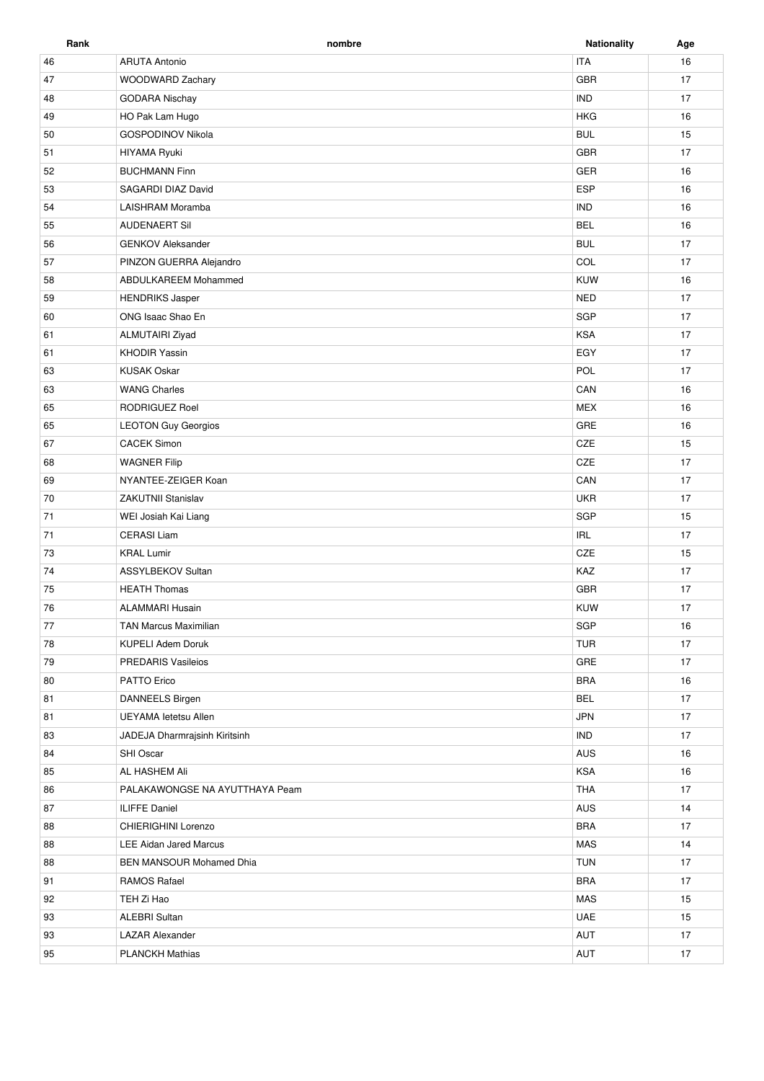**Rank nombre Nationality Age** 46 ARUTA Antonio in the control of the control of the control of the control of the control of the control of the control of the control of the control of the control of the control of the control of the control of the con 47 WOODWARD Zachary GBR 17 48 GODARA Nischay 17 Assume that the Pak Lam Hugo the Second Second Second Second Second Second Second Second Second Second Second Second Second Second Second Second Second Second Second Second Second Second Second Second Second Second Second 50 GOSPODINOV Nikola **BUL 15** 51 HIYAMA Ryuki GBR 17 52 BUCHMANN Finn 16 and 50 and 50 and 50 and 50 and 50 and 50 and 50 and 50 and 50 and 50 and 50 and 50 and 50 53 SAGARDI DIAZ David **ESP** 16 54 LAISHRAM Moramba **IND** 16 55 AUDENAERT Sil BEL 16 AUDENAERT Sil BEL 16 AUDENAERT SIL BEL 16 AUDENAERT SIL BEL 56 GENKOV Aleksander 17 57 PINZON GUERRA Alejandro **COL 17** PINZON GUERRA Alejandro **COL 17** 58 ABDULKAREEM Mohammed **ABDULKAREEM Mohammed** ABOULKAREEM Mohammed **ABOULKAREEM Mohammed** ABOULKAREEM Mohammed ABOULKAREEM Mohammed ABOULKAREEM MOHAMMED ABOULKAREEM MOHAMMED ASSAULT ASSAULT ASSAULT ASSAULT ASSAULT ASSAULT 59 HENDRIKS Jasper NED 17 60 ONG Isaac Shao En SGP 17 61 ALMUTAIRI Ziyad 17 ALMUTAIRI Ziyad 17 ALMUTAIRI Ziyad 17 ALMUTAIRI Ziyad 17 ALMUTAIRI Ziyad 17 ALMUTAIRI Ziyad 61 KHODIR Yassin EGY 17 63 KUSAK Oskar Roman and the second second service in the second service of the service in the service of the service of the service of the service of the service of the service of the service of the service of the service 63 WANG Charles **CAN 16** WANG Charles CAN 16 WANG CHARLES AND THE CAN 16 WANG CHARLES AND THE CAN 16 WANG CHARLES AND THE CAN 16 WANG CHARLES AND THE CAN CHARLES AND THE CAN CHARLES AND THE CAN CHARLES AND THE CAN CHARLES 65 RODRIGUEZ Roel 2008 RODRIGUEZ Roel 2008 RODRIGUEZ ROEL 2008 RODRIGUEZ ROEL 2009 ROEL 2009 ROEL 2009 ROEL 2009 ROEL 2009 ROEL 2009 ROEL 2009 ROEL 2009 ROEL 2009 ROEL 2009 ROEL 2009 ROEL 2009 ROEL 2009 ROEL 2009 ROEL 2009 65 LEOTON Guy Georgios Carrier and the Carrier and the Carrier and the Carrier and the Carrier and the Carrier and the Carrier and the Carrier and the Carrier and the Carrier and the Carrier and the Carrier and the Carrier 67 CACEK Simon CACEX Company of the control of the control of the control of the control of the control of the control of the control of the control of the control of the control of the control of the control of the contro 68 WAGNER Filip the control of the control of the control of the control of the control of the control of the control of the control of the control of the control of the control of the control of the control of the control 69 NYANTEE-ZEIGER Koan CAN 17 70 ZAKUTNII Stanislav UKR 17 71 WEI Josiah Kai Liang 2008 - 2009 - 2010 - 2010 - 2010 - 2010 - 2010 - 2010 - 2010 - 2010 - 2010 - 2010 - 20<br>SGP 2010 - 2010 - 2010 - 2010 - 2010 - 2010 - 2010 - 2010 - 2010 - 2010 - 2010 - 2010 - 2010 - 2010 - 2010 - 2 71 CERASI Liam IRL 17 73 KRAL Lumir 15 November 2012 15 November 2013 15 November 2013 15 November 2013 74 ASSYLBEKOV Sultan KAZ 17 The Research HEATH Thomas **Figure 17** The Research of the Second 17 The Research of the Second 17 Thomas **GBR** 17 76 ALAMMARI Husain KUW 17 TAN Marcus Maximilian SGP 16 and the United States of the United States of the United States of the United States of the United States of the United States of the United States of the United States of the United States of 78 KUPELI Adem Doruk TUR 17 79 PREDARIS Vasileios **GRE** 17 80 PATTO Erico il controllato di un segundo di un segundo di un segundo di un segundo di un segundo di un segundo di un segundo di un segundo di un segundo di un segundo di un segundo di un segundo di un segundo di un segu 81 DANNEELS Birgen BEL 17 81 UEYAMA Ietetsu Allen 17 83 JADEJA Dharmrajsinh Kiritsinh Indiana and a shekara ta 17 an ann an t-Indiana ann an t-Indiana ann an 17 an 17 an 17 an 17 an 17 an 17 an 17 an 17 an 17 an 17 an 17 an 17 an 17 an 17 an 17 an 17 an 17 an 17 an 17 an 17 84 SHI Oscar AUS 16 85 AL HASHEM Ali **AL HASHEM Ali KSA 16 AL HASHEM Ali** KSA 16 AL HASHEM Ali KSA 16 AL HASHEM Ali KSA 16 AL HASHEM A 86 PALAKAWONGSE NA AYUTTHAYA Peam **THA 17** THA 17 87 ILIFFE Daniel **AUS 14** 88 CHIERIGHINI Lorenzo **BRA 17** 88 LEE Aidan Jared Marcus **14** LEE Aidan Jared Marcus **MAS** 14 88 BEN MANSOUR Mohamed Dhia **BEN MANSOUR Mohamed Dhia** TUN 17 91 RAMOS Rafael BRA 17 92 TEH Zi Hao Massachusetts and the second service of the service of the service of the service of the service of the service of the service of the service of the service of the service of the service of the service of the 93 ALEBRI Sultan UAE 15 93 LAZAR Alexander Northwestern Australian States and AUT 17 (17 Metal 17 Metal 17 Metal 17 Metal 17 Metal 17 Metal 17 Metal 17 Metal 17 Metal 17 Metal 17 Metal 17 Metal 17 Metal 17 Metal 17 Metal 17 Metal 17 Metal 17 Meta

95 PLANCKH Mathias **PLANCKH Mathias** AUT 17